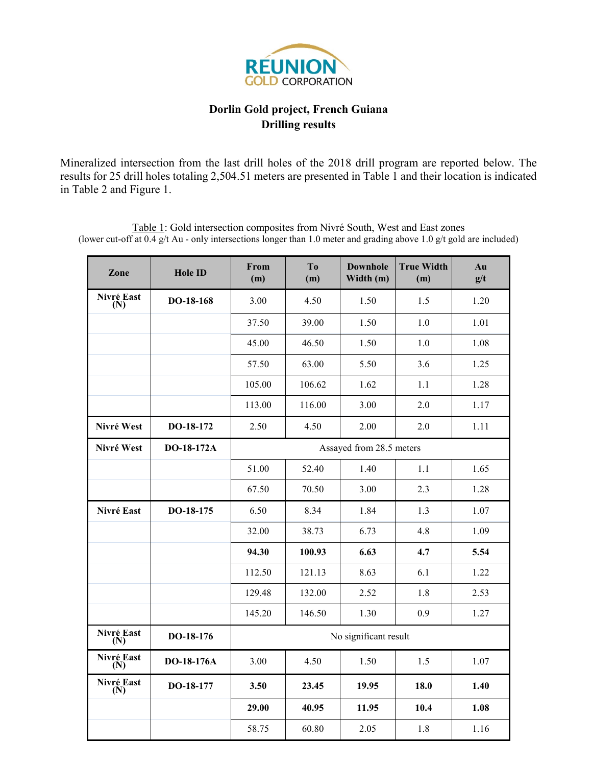

## **Dorlin Gold project, French Guiana Drilling results**

Mineralized intersection from the last drill holes of the 2018 drill program are reported below. The results for 25 drill holes totaling 2,504.51 meters are presented in Table 1 and their location is indicated in Table 2 and Figure 1.

**Zone Hole ID From (m) To (m) Downhole Width (m) True Width (m) Au g/t Nivré East (N) DO-18-168** 3.00 4.50 1.50 1.5 1.20 37.50 | 39.00 | 1.50 | 1.0 | 1.01 45.00 | 46.50 | 1.50 | 1.0 | 1.08 57.50 63.00 5.50 3.6 1.25 105.00 | 106.62 | 1.62 | 1.1 | 1.28 113.00 116.00 3.00 2.0 1.17 **Nivré West** | **DO-18-172** | 2.50 | 4.50 | 2.00 | 2.0 | 1.11 **Nivré** West **DO-18-172A** Assayed from 28.5 meters 51.00 | 52.40 | 1.40 | 1.1 | 1.65 67.50 70.50 3.00 2.3 1.28 **Nivré East | DO-18-175 | 6.50 | 8.34 | 1.84 | 1.3 | 1.07** 32.00 38.73 6.73 4.8 1.09 **94.30 100.93 6.63 4.7 5.54** 112.50 | 121.13 | 8.63 | 6.1 | 1.22 129.48 132.00 2.52 1.8 2.53 145.20 | 146.50 | 1.30 | 0.9 | 1.27 **Nivré East (N) DO-18-176** No significant result **Nivré East (N) DO-18-176A** 3.00 4.50 1.50 1.5 1.07 **Nivré East (N) DO-18-177 3.50 23.45 19.95 18.0 1.40 29.00 40.95 11.95 10.4 1.08**

58.75 60.80 2.05 1.8 1.16

Table 1: Gold intersection composites from Nivré South, West and East zones (lower cut-off at 0.4 g/t Au - only intersections longer than 1.0 meter and grading above 1.0 g/t gold are included)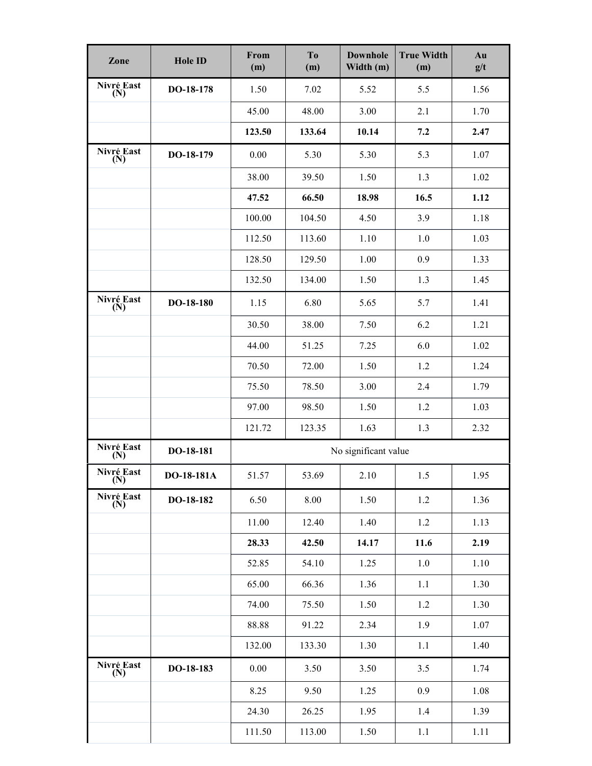| Zone              | <b>Hole ID</b> | From<br>(m)          | T <sub>o</sub><br>(m) | <b>True Width</b><br><b>Downhole</b><br>Width (m)<br>(m) |             | Au<br>g/t |  |
|-------------------|----------------|----------------------|-----------------------|----------------------------------------------------------|-------------|-----------|--|
| Nivré East<br>(N) | DO-18-178      | 1.50                 | 7.02                  | 5.52                                                     | 5.5         | 1.56      |  |
|                   |                | 45.00                | 48.00                 | 3.00                                                     | 2.1         | 1.70      |  |
|                   |                | 123.50               | 133.64                | 10.14                                                    | 7.2         | 2.47      |  |
| Nivré East<br>(N) | DO-18-179      | 0.00                 | 5.30                  | 5.30                                                     | 5.3         | 1.07      |  |
|                   |                | 38.00                | 39.50                 | 1.50                                                     | 1.3         | 1.02      |  |
|                   |                | 47.52                | 66.50                 | 18.98                                                    | 16.5        | 1.12      |  |
|                   |                | 100.00               | 104.50                | 4.50                                                     | 3.9         | 1.18      |  |
|                   |                | 112.50               | 113.60                | 1.10                                                     | 1.0         | 1.03      |  |
|                   |                | 128.50               | 129.50                | 1.00                                                     | 0.9         | 1.33      |  |
|                   |                | 132.50               | 134.00                | 1.50                                                     | 1.3         | 1.45      |  |
| Nivré East<br>(N) | DO-18-180      | 1.15                 | 6.80                  | 5.65                                                     | 5.7         | 1.41      |  |
|                   |                | 30.50                | 38.00                 | 7.50                                                     | 6.2         | 1.21      |  |
|                   |                | 44.00                | 51.25                 | 7.25                                                     | 6.0         | 1.02      |  |
|                   |                | 70.50                | 72.00                 | 1.50                                                     | 1.2         | 1.24      |  |
|                   |                | 75.50                | 78.50                 | 3.00                                                     | 2.4         | 1.79      |  |
|                   |                | 97.00                | 98.50                 | 1.50                                                     | 1.2         | 1.03      |  |
|                   |                | 121.72               | 123.35                | 1.63                                                     | 1.3         | 2.32      |  |
| Nivré East<br>(N) | DO-18-181      | No significant value |                       |                                                          |             |           |  |
| Nivré East<br>(N) | DO-18-181A     | 51.57                | 53.69                 | 2.10                                                     | 1.95<br>1.5 |           |  |
| Nivré East<br>(N) | DO-18-182      | 6.50                 | 8.00                  | 1.50                                                     | 1.2         | 1.36      |  |
|                   |                | 11.00                | 12.40                 | 1.40                                                     | 1.2         | 1.13      |  |
|                   |                | 28.33                | 42.50                 | 14.17                                                    | 11.6        | 2.19      |  |
|                   |                | 52.85                | 54.10                 | 1.25                                                     | $1.0\,$     | 1.10      |  |
|                   |                | 65.00                | 66.36                 | 1.36                                                     | 1.1         | 1.30      |  |
|                   |                | 74.00                | 75.50                 | 1.50                                                     | 1.2         | 1.30      |  |
|                   |                | 88.88                | 91.22                 | 2.34                                                     | 1.9         | 1.07      |  |
|                   |                | 132.00               | 133.30                | 1.30                                                     | 1.1         | 1.40      |  |
| Nivré East<br>(N) | DO-18-183      | 0.00                 | 3.50                  | 3.50                                                     | 3.5         | 1.74      |  |
|                   |                | 8.25                 | 9.50                  | 1.25                                                     | 0.9         | 1.08      |  |
|                   |                | 24.30                | 26.25                 | 1.95                                                     | 1.4         | 1.39      |  |
|                   |                | 111.50               | 113.00                | 1.50                                                     | 1.1         | 1.11      |  |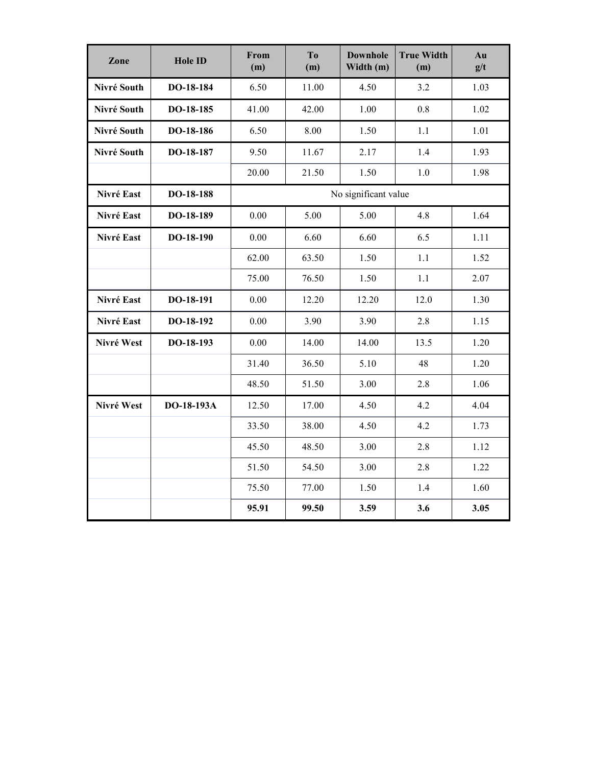| Zone        | <b>Hole ID</b> | From<br>(m)          | T <sub>o</sub><br>(m) | <b>Downhole</b><br>Width (m) | <b>True Width</b><br>(m) | Au<br>g/t |  |
|-------------|----------------|----------------------|-----------------------|------------------------------|--------------------------|-----------|--|
| Nivré South | DO-18-184      | 6.50                 | 11.00                 | 4.50                         | 3.2                      | 1.03      |  |
| Nivré South | DO-18-185      | 41.00                | 42.00                 | 1.00                         | 0.8                      | 1.02      |  |
| Nivré South | DO-18-186      | 6.50                 | 8.00                  | 1.50                         | $1.1\,$                  | 1.01      |  |
| Nivré South | DO-18-187      | 9.50                 | 11.67                 | 2.17                         | 1.4                      | 1.93      |  |
|             |                | 20.00                | 21.50                 | 1.50                         | $1.0\,$                  | 1.98      |  |
| Nivré East  | DO-18-188      | No significant value |                       |                              |                          |           |  |
| Nivré East  | DO-18-189      | 0.00                 | 5.00                  | 5.00                         | 4.8                      | 1.64      |  |
| Nivré East  | DO-18-190      | 0.00                 | 6.60                  | 6.60                         | 6.5                      | 1.11      |  |
|             |                | 62.00                | 63.50                 | 1.50                         | 1.1                      | 1.52      |  |
|             |                | 75.00                | 76.50                 | 1.50                         | 1.1                      | 2.07      |  |
| Nivré East  | DO-18-191      | 0.00                 | 12.20                 | 12.20                        | 12.0                     | 1.30      |  |
| Nivré East  | DO-18-192      | 0.00                 | 3.90                  | 3.90                         | 2.8                      | 1.15      |  |
| Nivré West  | DO-18-193      | 0.00                 | 14.00                 | 14.00                        | 13.5                     | 1.20      |  |
|             |                | 31.40                | 36.50                 | 5.10                         | 48                       | 1.20      |  |
|             |                | 48.50                | 51.50                 | 3.00                         | 2.8                      | 1.06      |  |
| Nivré West  | DO-18-193A     | 12.50                | 17.00                 | 4.50                         | 4.2                      | 4.04      |  |
|             |                | 33.50                | 38.00                 | 4.50                         | 4.2                      | 1.73      |  |
|             |                | 45.50                | 48.50                 | 3.00                         | 2.8                      | 1.12      |  |
|             |                | 51.50                | 54.50                 | 3.00                         | 2.8                      | 1.22      |  |
|             |                | 75.50                | 77.00                 | 1.50                         | 1.4                      | 1.60      |  |
|             |                | 95.91                | 99.50                 | 3.59                         | 3.6                      | 3.05      |  |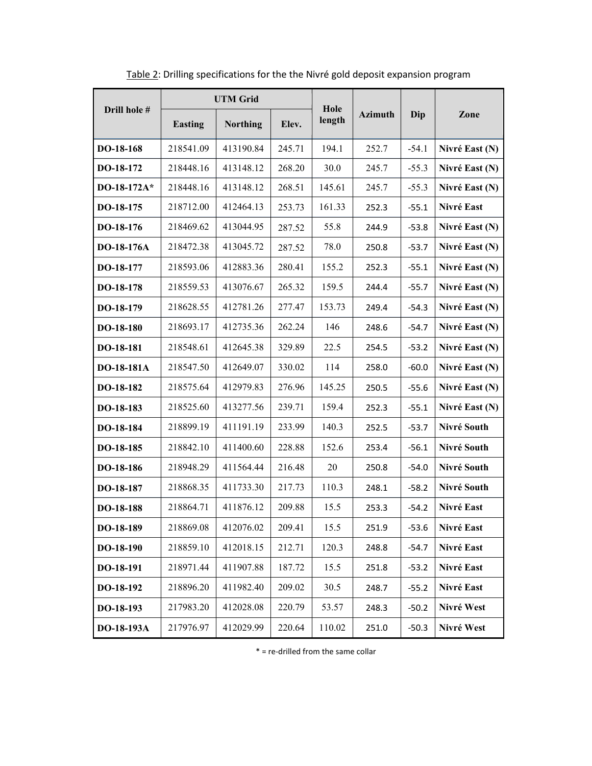| Drill hole #      | <b>UTM Grid</b> |                 |        | Hole   |                |         |                |
|-------------------|-----------------|-----------------|--------|--------|----------------|---------|----------------|
|                   | <b>Easting</b>  | <b>Northing</b> | Elev.  | length | <b>Azimuth</b> | Dip     | Zone           |
| DO-18-168         | 218541.09       | 413190.84       | 245.71 | 194.1  | 252.7          | $-54.1$ | Nivré East (N) |
| DO-18-172         | 218448.16       | 413148.12       | 268.20 | 30.0   | 245.7          | $-55.3$ | Nivré East (N) |
| DO-18-172A*       | 218448.16       | 413148.12       | 268.51 | 145.61 | 245.7          | $-55.3$ | Nivré East (N) |
| DO-18-175         | 218712.00       | 412464.13       | 253.73 | 161.33 | 252.3          | $-55.1$ | Nivré East     |
| DO-18-176         | 218469.62       | 413044.95       | 287.52 | 55.8   | 244.9          | $-53.8$ | Nivré East (N) |
| DO-18-176A        | 218472.38       | 413045.72       | 287.52 | 78.0   | 250.8          | $-53.7$ | Nivré East (N) |
| DO-18-177         | 218593.06       | 412883.36       | 280.41 | 155.2  | 252.3          | $-55.1$ | Nivré East (N) |
| DO-18-178         | 218559.53       | 413076.67       | 265.32 | 159.5  | 244.4          | $-55.7$ | Nivré East (N) |
| DO-18-179         | 218628.55       | 412781.26       | 277.47 | 153.73 | 249.4          | $-54.3$ | Nivré East (N) |
| DO-18-180         | 218693.17       | 412735.36       | 262.24 | 146    | 248.6          | $-54.7$ | Nivré East (N) |
| DO-18-181         | 218548.61       | 412645.38       | 329.89 | 22.5   | 254.5          | $-53.2$ | Nivré East (N) |
| <b>DO-18-181A</b> | 218547.50       | 412649.07       | 330.02 | 114    | 258.0          | $-60.0$ | Nivré East (N) |
| DO-18-182         | 218575.64       | 412979.83       | 276.96 | 145.25 | 250.5          | $-55.6$ | Nivré East (N) |
| DO-18-183         | 218525.60       | 413277.56       | 239.71 | 159.4  | 252.3          | $-55.1$ | Nivré East (N) |
| DO-18-184         | 218899.19       | 411191.19       | 233.99 | 140.3  | 252.5          | $-53.7$ | Nivré South    |
| DO-18-185         | 218842.10       | 411400.60       | 228.88 | 152.6  | 253.4          | $-56.1$ | Nivré South    |
| DO-18-186         | 218948.29       | 411564.44       | 216.48 | 20     | 250.8          | $-54.0$ | Nivré South    |
| DO-18-187         | 218868.35       | 411733.30       | 217.73 | 110.3  | 248.1          | $-58.2$ | Nivré South    |
| DO-18-188         | 218864.71       | 411876.12       | 209.88 | 15.5   | 253.3          | $-54.2$ | Nivré East     |
| DO-18-189         | 218869.08       | 412076.02       | 209.41 | 15.5   | 251.9          | $-53.6$ | Nivré East     |
| DO-18-190         | 218859.10       | 412018.15       | 212.71 | 120.3  | 248.8          | $-54.7$ | Nivré East     |
| DO-18-191         | 218971.44       | 411907.88       | 187.72 | 15.5   | 251.8          | $-53.2$ | Nivré East     |
| DO-18-192         | 218896.20       | 411982.40       | 209.02 | 30.5   | 248.7          | $-55.2$ | Nivré East     |
| DO-18-193         | 217983.20       | 412028.08       | 220.79 | 53.57  | 248.3          | $-50.2$ | Nivré West     |
| DO-18-193A        | 217976.97       | 412029.99       | 220.64 | 110.02 | 251.0          | $-50.3$ | Nivré West     |

Table 2: Drilling specifications for the the Nivré gold deposit expansion program

 $*$  = re-drilled from the same collar